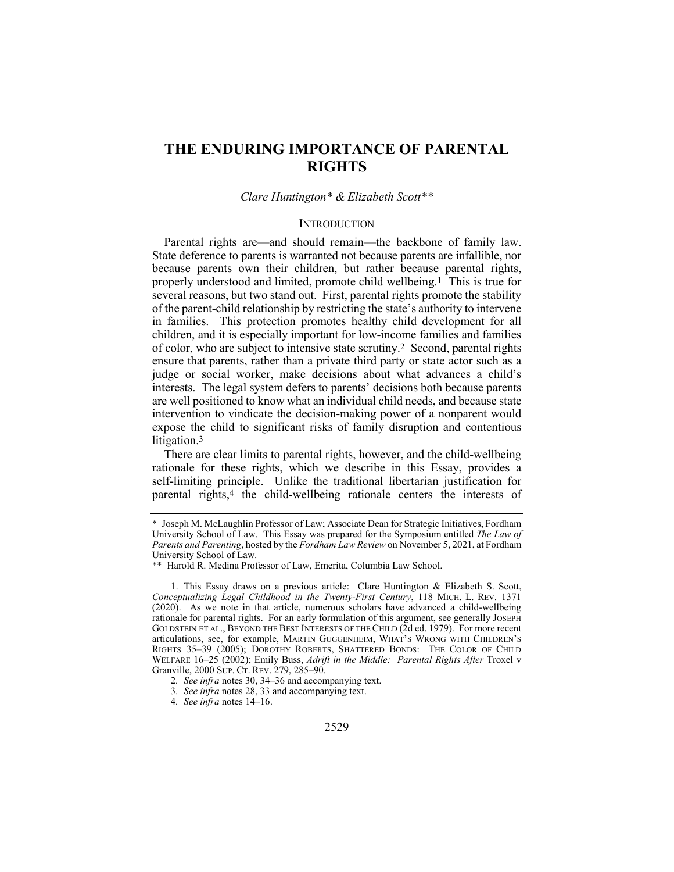# **THE ENDURING IMPORTANCE OF PARENTAL RIGHTS**

### *Clare Huntington\* & Elizabeth Scott\*\**

### **INTRODUCTION**

Parental rights are—and should remain—the backbone of family law. State deference to parents is warranted not because parents are infallible, nor because parents own their children, but rather because parental rights, properly understood and limited, promote child wellbeing.1 This is true for several reasons, but two stand out. First, parental rights promote the stability of the parent-child relationship by restricting the state's authority to intervene in families. This protection promotes healthy child development for all children, and it is especially important for low-income families and families of color, who are subject to intensive state scrutiny.2 Second, parental rights ensure that parents, rather than a private third party or state actor such as a judge or social worker, make decisions about what advances a child's interests. The legal system defers to parents' decisions both because parents are well positioned to know what an individual child needs, and because state intervention to vindicate the decision-making power of a nonparent would expose the child to significant risks of family disruption and contentious litigation.3

There are clear limits to parental rights, however, and the child-wellbeing rationale for these rights, which we describe in this Essay, provides a self-limiting principle. Unlike the traditional libertarian justification for parental rights,4 the child-wellbeing rationale centers the interests of

<sup>\*</sup> Joseph M. McLaughlin Professor of Law; Associate Dean for Strategic Initiatives, Fordham University School of Law. This Essay was prepared for the Symposium entitled *The Law of Parents and Parenting*, hosted by the *Fordham Law Review* on November 5, 2021, at Fordham University School of Law.

<sup>\*\*</sup> Harold R. Medina Professor of Law, Emerita, Columbia Law School.

<sup>1.</sup> This Essay draws on a previous article: Clare Huntington & Elizabeth S. Scott, *Conceptualizing Legal Childhood in the Twenty-First Century*, 118 MICH. L. REV. 1371 (2020). As we note in that article, numerous scholars have advanced a child-wellbeing rationale for parental rights. For an early formulation of this argument, see generally JOSEPH GOLDSTEIN ET AL., BEYOND THE BEST INTERESTS OF THE CHILD (2d ed. 1979). For more recent articulations, see, for example, MARTIN GUGGENHEIM, WHAT'S WRONG WITH CHILDREN'S RIGHTS 35–39 (2005); DOROTHY ROBERTS, SHATTERED BONDS: THE COLOR OF CHILD WELFARE 16–25 (2002); Emily Buss, *Adrift in the Middle: Parental Rights After* Troxel v Granville, 2000 SUP. CT. REV. 279, 285–90.

<sup>2</sup>*. See infra* notes 30, 34–36 and accompanying text.

<sup>3</sup>*. See infra* notes 28, 33 and accompanying text.

<sup>4</sup>*. See infra* notes 14–16.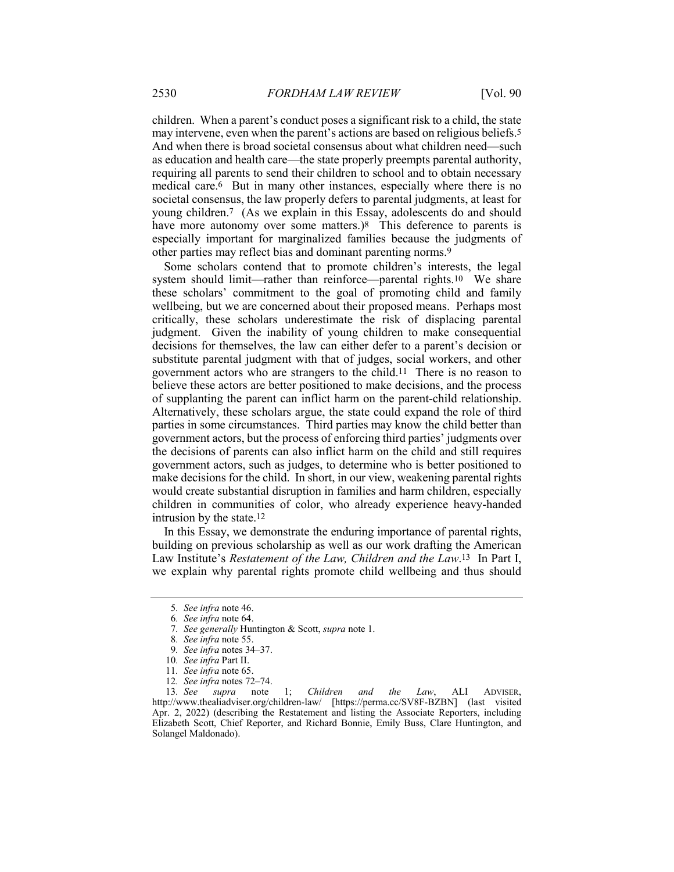children. When a parent's conduct poses a significant risk to a child, the state may intervene, even when the parent's actions are based on religious beliefs.5 And when there is broad societal consensus about what children need—such as education and health care—the state properly preempts parental authority, requiring all parents to send their children to school and to obtain necessary medical care.6 But in many other instances, especially where there is no societal consensus, the law properly defers to parental judgments, at least for young children.7 (As we explain in this Essay, adolescents do and should have more autonomy over some matters.)<sup>8</sup> This deference to parents is especially important for marginalized families because the judgments of other parties may reflect bias and dominant parenting norms.9

Some scholars contend that to promote children's interests, the legal system should limit—rather than reinforce—parental rights.10 We share these scholars' commitment to the goal of promoting child and family wellbeing, but we are concerned about their proposed means. Perhaps most critically, these scholars underestimate the risk of displacing parental judgment. Given the inability of young children to make consequential decisions for themselves, the law can either defer to a parent's decision or substitute parental judgment with that of judges, social workers, and other government actors who are strangers to the child.11 There is no reason to believe these actors are better positioned to make decisions, and the process of supplanting the parent can inflict harm on the parent-child relationship. Alternatively, these scholars argue, the state could expand the role of third parties in some circumstances. Third parties may know the child better than government actors, but the process of enforcing third parties' judgments over the decisions of parents can also inflict harm on the child and still requires government actors, such as judges, to determine who is better positioned to make decisions for the child. In short, in our view, weakening parental rights would create substantial disruption in families and harm children, especially children in communities of color, who already experience heavy-handed intrusion by the state.12

In this Essay, we demonstrate the enduring importance of parental rights, building on previous scholarship as well as our work drafting the American Law Institute's *Restatement of the Law, Children and the Law*.13 In Part I, we explain why parental rights promote child wellbeing and thus should

<sup>5</sup>*. See infra* note 46.

<sup>6</sup>*. See infra* note 64.

<sup>7</sup>*. See generally* Huntington & Scott, *supra* note 1.

<sup>8</sup>*. See infra* note 55.

<sup>9</sup>*. See infra* notes 34–37.

<sup>10</sup>*. See infra* Part II.

<sup>11</sup>*. See infra* note 65.

<sup>12</sup>*. See infra* notes 72–74.

supra note 1; *Children and the Law*, ALI ADVISER, http://www.thealiadviser.org/children-law/ [https://perma.cc/SV8F-BZBN] (last visited Apr. 2, 2022) (describing the Restatement and listing the Associate Reporters, including Elizabeth Scott, Chief Reporter, and Richard Bonnie, Emily Buss, Clare Huntington, and Solangel Maldonado).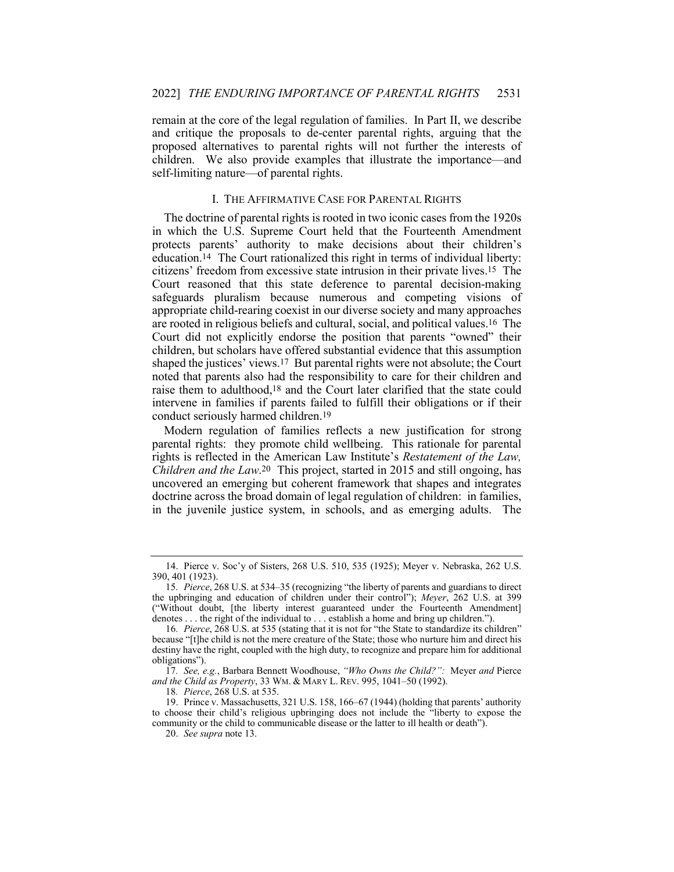remain at the core of the legal regulation of families. In Part II, we describe and critique the proposals to de-center parental rights, arguing that the proposed alternatives to parental rights will not further the interests of children. We also provide examples that illustrate the importance—and self-limiting nature—of parental rights.

# I. THE AFFIRMATIVE CASE FOR PARENTAL RIGHTS

The doctrine of parental rights is rooted in two iconic cases from the 1920s in which the U.S. Supreme Court held that the Fourteenth Amendment protects parents' authority to make decisions about their children's education.14 The Court rationalized this right in terms of individual liberty: citizens' freedom from excessive state intrusion in their private lives.15 The Court reasoned that this state deference to parental decision-making safeguards pluralism because numerous and competing visions of appropriate child-rearing coexist in our diverse society and many approaches are rooted in religious beliefs and cultural, social, and political values.16 The Court did not explicitly endorse the position that parents "owned" their children, but scholars have offered substantial evidence that this assumption shaped the justices' views.17 But parental rights were not absolute; the Court noted that parents also had the responsibility to care for their children and raise them to adulthood,18 and the Court later clarified that the state could intervene in families if parents failed to fulfill their obligations or if their conduct seriously harmed children.19

Modern regulation of families reflects a new justification for strong parental rights: they promote child wellbeing. This rationale for parental rights is reflected in the American Law Institute's *Restatement of the Law, Children and the Law*.20 This project, started in 2015 and still ongoing, has uncovered an emerging but coherent framework that shapes and integrates doctrine across the broad domain of legal regulation of children: in families, in the juvenile justice system, in schools, and as emerging adults. The

<sup>14.</sup> Pierce v. Soc'y of Sisters, 268 U.S. 510, 535 (1925); Meyer v. Nebraska, 262 U.S. 390, 401 (1923).

<sup>15</sup>*. Pierce*, 268 U.S. at 534–35 (recognizing "the liberty of parents and guardians to direct the upbringing and education of children under their control"); *Meyer*, 262 U.S. at 399 ("Without doubt, [the liberty interest guaranteed under the Fourteenth Amendment] denotes . . . the right of the individual to . . . establish a home and bring up children.").

<sup>16</sup>*. Pierce*, 268 U.S. at 535 (stating that it is not for "the State to standardize its children" because "[t]he child is not the mere creature of the State; those who nurture him and direct his destiny have the right, coupled with the high duty, to recognize and prepare him for additional obligations").

<sup>17</sup>*. See, e.g.*, Barbara Bennett Woodhouse, *"Who Owns the Child?":* Meyer *and* Pierce *and the Child as Property*, 33 WM. & MARY L. REV. 995, 1041–50 (1992).

<sup>18</sup>*. Pierce*, 268 U.S. at 535.

<sup>19.</sup> Prince v. Massachusetts, 321 U.S. 158, 166–67 (1944) (holding that parents' authority to choose their child's religious upbringing does not include the "liberty to expose the community or the child to communicable disease or the latter to ill health or death").

<sup>20.</sup> *See supra* note 13.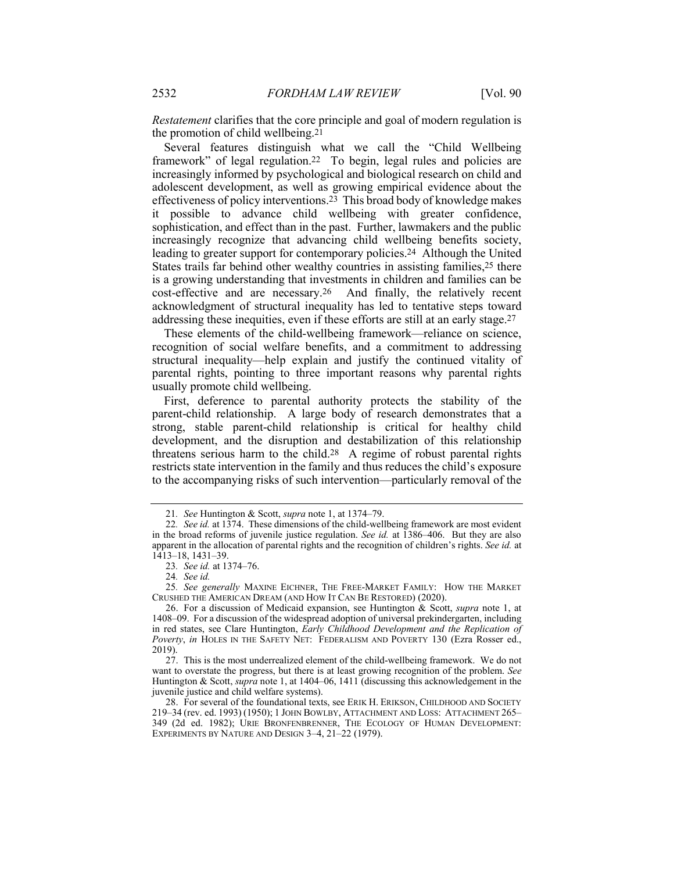*Restatement* clarifies that the core principle and goal of modern regulation is the promotion of child wellbeing.21

Several features distinguish what we call the "Child Wellbeing framework" of legal regulation.22 To begin, legal rules and policies are increasingly informed by psychological and biological research on child and adolescent development, as well as growing empirical evidence about the effectiveness of policy interventions.23 This broad body of knowledge makes it possible to advance child wellbeing with greater confidence, sophistication, and effect than in the past. Further, lawmakers and the public increasingly recognize that advancing child wellbeing benefits society, leading to greater support for contemporary policies.24 Although the United States trails far behind other wealthy countries in assisting families,25 there is a growing understanding that investments in children and families can be cost-effective and are necessary.26 And finally, the relatively recent acknowledgment of structural inequality has led to tentative steps toward addressing these inequities, even if these efforts are still at an early stage.27

These elements of the child-wellbeing framework—reliance on science, recognition of social welfare benefits, and a commitment to addressing structural inequality—help explain and justify the continued vitality of parental rights, pointing to three important reasons why parental rights usually promote child wellbeing.

First, deference to parental authority protects the stability of the parent-child relationship. A large body of research demonstrates that a strong, stable parent-child relationship is critical for healthy child development, and the disruption and destabilization of this relationship threatens serious harm to the child.28 A regime of robust parental rights restricts state intervention in the family and thus reduces the child's exposure to the accompanying risks of such intervention—particularly removal of the

<sup>21</sup>*. See* Huntington & Scott, *supra* note 1, at 1374–79.

<sup>22</sup>*. See id.* at 1374. These dimensions of the child-wellbeing framework are most evident in the broad reforms of juvenile justice regulation. *See id.* at 1386–406. But they are also apparent in the allocation of parental rights and the recognition of children's rights. *See id.* at 1413–18, 1431–39.

<sup>23</sup>*. See id.* at 1374–76.

<sup>24</sup>*. See id.*

<sup>25</sup>*. See generally* MAXINE EICHNER, THE FREE-MARKET FAMILY: HOW THE MARKET CRUSHED THE AMERICAN DREAM (AND HOW IT CAN BE RESTORED) (2020).

<sup>26.</sup> For a discussion of Medicaid expansion, see Huntington & Scott, *supra* note 1, at 1408–09. For a discussion of the widespread adoption of universal prekindergarten, including in red states, see Clare Huntington, *Early Childhood Development and the Replication of Poverty*, *in* HOLES IN THE SAFETY NET: FEDERALISM AND POVERTY 130 (Ezra Rosser ed., 2019).

<sup>27.</sup> This is the most underrealized element of the child-wellbeing framework. We do not want to overstate the progress, but there is at least growing recognition of the problem. *See* Huntington & Scott, *supra* note 1, at 1404–06, 1411 (discussing this acknowledgement in the juvenile justice and child welfare systems).

<sup>28.</sup> For several of the foundational texts, see ERIK H. ERIKSON, CHILDHOOD AND SOCIETY 219–34 (rev. ed. 1993) (1950); 1 JOHN BOWLBY, ATTACHMENT AND LOSS: ATTACHMENT 265– 349 (2d ed. 1982); URIE BRONFENBRENNER, THE ECOLOGY OF HUMAN DEVELOPMENT: EXPERIMENTS BY NATURE AND DESIGN 3–4, 21–22 (1979).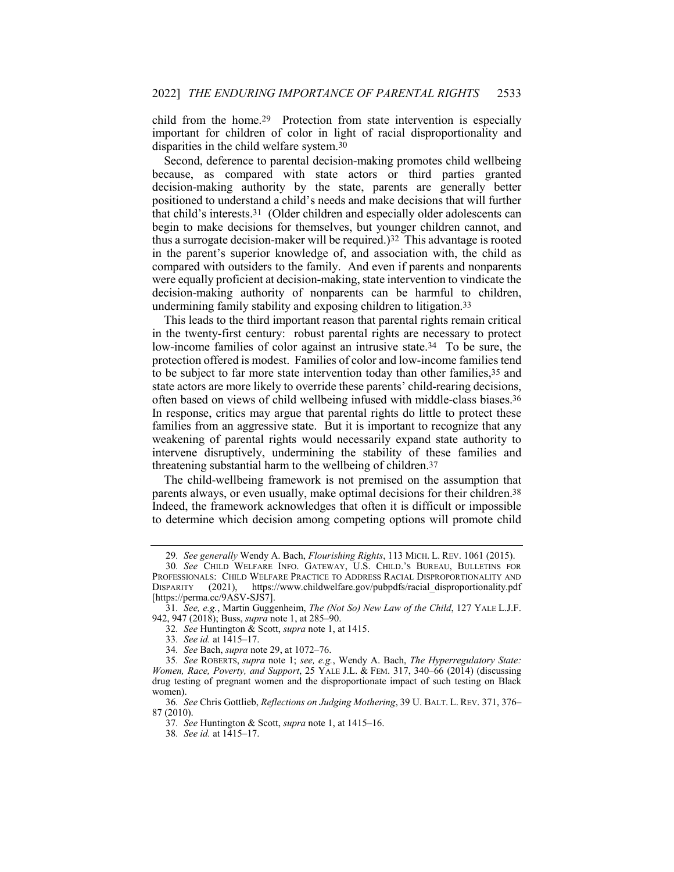child from the home.29 Protection from state intervention is especially important for children of color in light of racial disproportionality and disparities in the child welfare system.30

Second, deference to parental decision-making promotes child wellbeing because, as compared with state actors or third parties granted decision-making authority by the state, parents are generally better positioned to understand a child's needs and make decisions that will further that child's interests.31 (Older children and especially older adolescents can begin to make decisions for themselves, but younger children cannot, and thus a surrogate decision-maker will be required.)<sup>32</sup> This advantage is rooted in the parent's superior knowledge of, and association with, the child as compared with outsiders to the family. And even if parents and nonparents were equally proficient at decision-making, state intervention to vindicate the decision-making authority of nonparents can be harmful to children, undermining family stability and exposing children to litigation.33

This leads to the third important reason that parental rights remain critical in the twenty-first century: robust parental rights are necessary to protect low-income families of color against an intrusive state.34 To be sure, the protection offered is modest. Families of color and low-income families tend to be subject to far more state intervention today than other families,35 and state actors are more likely to override these parents' child-rearing decisions, often based on views of child wellbeing infused with middle-class biases.36 In response, critics may argue that parental rights do little to protect these families from an aggressive state. But it is important to recognize that any weakening of parental rights would necessarily expand state authority to intervene disruptively, undermining the stability of these families and threatening substantial harm to the wellbeing of children.37

The child-wellbeing framework is not premised on the assumption that parents always, or even usually, make optimal decisions for their children.38 Indeed, the framework acknowledges that often it is difficult or impossible to determine which decision among competing options will promote child

36*. See* Chris Gottlieb, *Reflections on Judging Mothering*, 39 U. BALT. L. REV. 371, 376– 87 (2010).

<sup>29</sup>*. See generally* Wendy A. Bach, *Flourishing Rights*, 113 MICH. L. REV. 1061 (2015).

<sup>30</sup>*. See* CHILD WELFARE INFO. GATEWAY, U.S. CHILD.'S BUREAU, BULLETINS FOR PROFESSIONALS: CHILD WELFARE PRACTICE TO ADDRESS RACIAL DISPROPORTIONALITY AND DISPARITY (2021), https://www.childwelfare.gov/pubpdfs/racial\_disproportionality.pdf [https://perma.cc/9ASV-SJS7].

<sup>31</sup>*. See, e.g.*, Martin Guggenheim, *The (Not So) New Law of the Child*, 127 YALE L.J.F. 942, 947 (2018); Buss, *supra* note 1, at 285–90.

<sup>32</sup>*. See* Huntington & Scott, *supra* note 1, at 1415.

<sup>33</sup>*. See id.* at 1415–17.

<sup>34</sup>*. See* Bach, *supra* note 29, at 1072–76.

<sup>35</sup>*. See* ROBERTS, *supra* note 1; *see, e.g.*, Wendy A. Bach, *The Hyperregulatory State: Women, Race, Poverty, and Support*, 25 YALE J.L. & FEM. 317, 340–66 (2014) (discussing drug testing of pregnant women and the disproportionate impact of such testing on Black women).

<sup>37</sup>*. See* Huntington & Scott, *supra* note 1, at 1415–16.

<sup>38</sup>*. See id.* at 1415–17.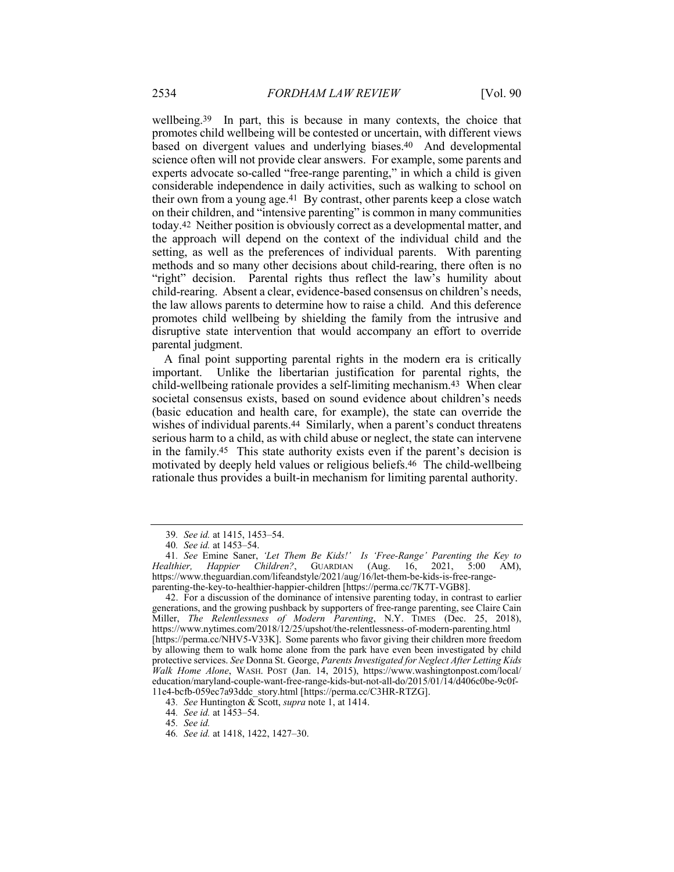wellbeing.39 In part, this is because in many contexts, the choice that promotes child wellbeing will be contested or uncertain, with different views based on divergent values and underlying biases.40 And developmental science often will not provide clear answers. For example, some parents and experts advocate so-called "free-range parenting," in which a child is given considerable independence in daily activities, such as walking to school on their own from a young age.41 By contrast, other parents keep a close watch on their children, and "intensive parenting" is common in many communities today.42 Neither position is obviously correct as a developmental matter, and the approach will depend on the context of the individual child and the setting, as well as the preferences of individual parents. With parenting methods and so many other decisions about child-rearing, there often is no "right" decision. Parental rights thus reflect the law's humility about child-rearing. Absent a clear, evidence-based consensus on children's needs, the law allows parents to determine how to raise a child. And this deference promotes child wellbeing by shielding the family from the intrusive and disruptive state intervention that would accompany an effort to override parental judgment.

A final point supporting parental rights in the modern era is critically important. Unlike the libertarian justification for parental rights, the child-wellbeing rationale provides a self-limiting mechanism.43 When clear societal consensus exists, based on sound evidence about children's needs (basic education and health care, for example), the state can override the wishes of individual parents.<sup>44</sup> Similarly, when a parent's conduct threatens serious harm to a child, as with child abuse or neglect, the state can intervene in the family.45 This state authority exists even if the parent's decision is motivated by deeply held values or religious beliefs.46 The child-wellbeing rationale thus provides a built-in mechanism for limiting parental authority.

<sup>39</sup>*. See id.* at 1415, 1453–54.

<sup>40</sup>*. See id.* at 1453–54.

<sup>41</sup>*. See* Emine Saner, *'Let Them Be Kids!' Is 'Free-Range' Parenting the Key to Healthier, Happier Children?*, GUARDIAN (Aug. 16, 2021, 5:00 AM), https://www.theguardian.com/lifeandstyle/2021/aug/16/let-them-be-kids-is-free-rangeparenting-the-key-to-healthier-happier-children [https://perma.cc/7K7T-VGB8].

<sup>42.</sup> For a discussion of the dominance of intensive parenting today, in contrast to earlier generations, and the growing pushback by supporters of free-range parenting, see Claire Cain Miller, *The Relentlessness of Modern Parenting*, N.Y. TIMES (Dec. 25, 2018), https://www.nytimes.com/2018/12/25/upshot/the-relentlessness-of-modern-parenting.html [https://perma.cc/NHV5-V33K]. Some parents who favor giving their children more freedom by allowing them to walk home alone from the park have even been investigated by child protective services. *See* Donna St. George, *Parents Investigated for Neglect After Letting Kids Walk Home Alone*, WASH. POST (Jan. 14, 2015), https://www.washingtonpost.com/local/ education/maryland-couple-want-free-range-kids-but-not-all-do/2015/01/14/d406c0be-9c0f-11e4-bcfb-059ec7a93ddc\_story.html [https://perma.cc/C3HR-RTZG].

<sup>43</sup>*. See* Huntington & Scott, *supra* note 1, at 1414.

<sup>44</sup>*. See id.* at 1453–54.

<sup>45</sup>*. See id.*

<sup>46</sup>*. See id.* at 1418, 1422, 1427–30.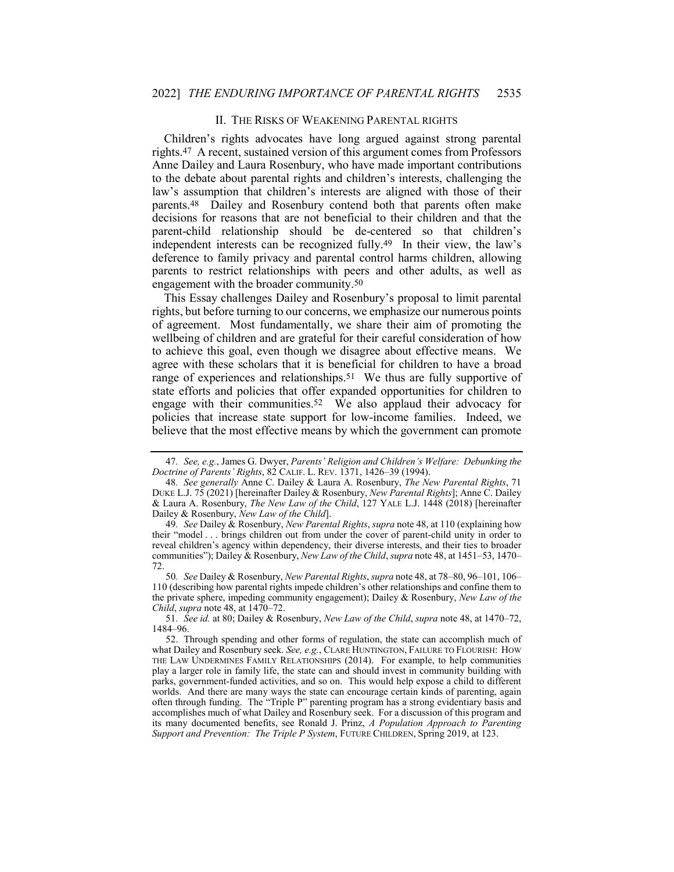#### II. THE RISKS OF WEAKENING PARENTAL RIGHTS

Children's rights advocates have long argued against strong parental rights.47 A recent, sustained version of this argument comes from Professors Anne Dailey and Laura Rosenbury, who have made important contributions to the debate about parental rights and children's interests, challenging the law's assumption that children's interests are aligned with those of their parents.48 Dailey and Rosenbury contend both that parents often make decisions for reasons that are not beneficial to their children and that the parent-child relationship should be de-centered so that children's independent interests can be recognized fully.49 In their view, the law's deference to family privacy and parental control harms children, allowing parents to restrict relationships with peers and other adults, as well as engagement with the broader community.50

This Essay challenges Dailey and Rosenbury's proposal to limit parental rights, but before turning to our concerns, we emphasize our numerous points of agreement. Most fundamentally, we share their aim of promoting the wellbeing of children and are grateful for their careful consideration of how to achieve this goal, even though we disagree about effective means. We agree with these scholars that it is beneficial for children to have a broad range of experiences and relationships.51 We thus are fully supportive of state efforts and policies that offer expanded opportunities for children to engage with their communities.52 We also applaud their advocacy for policies that increase state support for low-income families. Indeed, we believe that the most effective means by which the government can promote

49*. See* Dailey & Rosenbury, *New Parental Rights*, *supra* note 48, at 110 (explaining how their "model . . . brings children out from under the cover of parent-child unity in order to reveal children's agency within dependency, their diverse interests, and their ties to broader communities"); Dailey & Rosenbury, *New Law of the Child*, *supra* note 48, at 1451–53, 1470– 72.

50*. See* Dailey & Rosenbury, *New Parental Rights*, *supra* note 48, at 78–80, 96–101, 106– 110 (describing how parental rights impede children's other relationships and confine them to the private sphere, impeding community engagement); Dailey & Rosenbury, *New Law of the Child*, *supra* note 48, at 1470–72.

51*. See id.* at 80; Dailey & Rosenbury, *New Law of the Child*, *supra* note 48, at 1470–72, 1484–96.

<sup>47</sup>*. See, e.g.*, James G. Dwyer, *Parents' Religion and Children's Welfare: Debunking the Doctrine of Parents' Rights*, 82 CALIF. L. REV. 1371, 1426–39 (1994).

<sup>48</sup>*. See generally* Anne C. Dailey & Laura A. Rosenbury, *The New Parental Rights*, 71 DUKE L.J. 75 (2021) [hereinafter Dailey & Rosenbury, *New Parental Rights*]; Anne C. Dailey & Laura A. Rosenbury, *The New Law of the Child*, 127 YALE L.J. 1448 (2018) [hereinafter Dailey & Rosenbury, *New Law of the Child*].

<sup>52.</sup> Through spending and other forms of regulation, the state can accomplish much of what Dailey and Rosenbury seek. *See, e.g.*, CLARE HUNTINGTON, FAILURE TO FLOURISH: HOW THE LAW UNDERMINES FAMILY RELATIONSHIPS (2014). For example, to help communities play a larger role in family life, the state can and should invest in community building with parks, government-funded activities, and so on. This would help expose a child to different worlds. And there are many ways the state can encourage certain kinds of parenting, again often through funding. The "Triple P" parenting program has a strong evidentiary basis and accomplishes much of what Dailey and Rosenbury seek. For a discussion of this program and its many documented benefits, see Ronald J. Prinz, *A Population Approach to Parenting Support and Prevention: The Triple P System*, FUTURE CHILDREN, Spring 2019, at 123.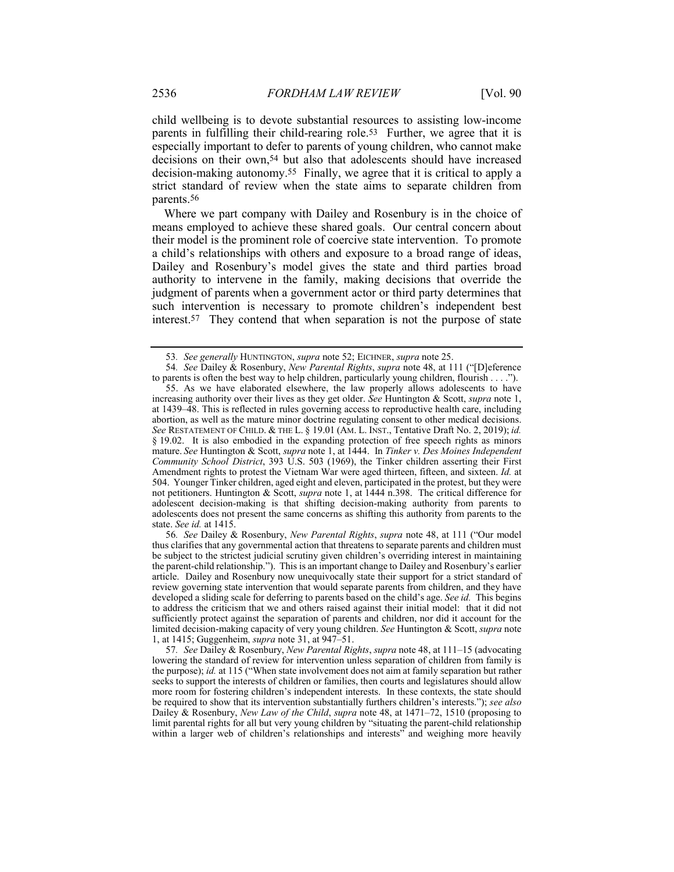child wellbeing is to devote substantial resources to assisting low-income parents in fulfilling their child-rearing role.53 Further, we agree that it is especially important to defer to parents of young children, who cannot make decisions on their own,54 but also that adolescents should have increased decision-making autonomy.55 Finally, we agree that it is critical to apply a strict standard of review when the state aims to separate children from parents.56

Where we part company with Dailey and Rosenbury is in the choice of means employed to achieve these shared goals. Our central concern about their model is the prominent role of coercive state intervention. To promote a child's relationships with others and exposure to a broad range of ideas, Dailey and Rosenbury's model gives the state and third parties broad authority to intervene in the family, making decisions that override the judgment of parents when a government actor or third party determines that such intervention is necessary to promote children's independent best interest.57 They contend that when separation is not the purpose of state

56*. See* Dailey & Rosenbury, *New Parental Rights*, *supra* note 48, at 111 ("Our model thus clarifies that any governmental action that threatens to separate parents and children must be subject to the strictest judicial scrutiny given children's overriding interest in maintaining the parent-child relationship."). This is an important change to Dailey and Rosenbury's earlier article. Dailey and Rosenbury now unequivocally state their support for a strict standard of review governing state intervention that would separate parents from children, and they have developed a sliding scale for deferring to parents based on the child's age. *See id.* This begins to address the criticism that we and others raised against their initial model: that it did not sufficiently protect against the separation of parents and children, nor did it account for the limited decision-making capacity of very young children. *See* Huntington & Scott, *supra* note 1, at 1415; Guggenheim, *supra* note 31, at 947–51.

57*. See* Dailey & Rosenbury, *New Parental Rights*, *supra* note 48, at 111–15 (advocating lowering the standard of review for intervention unless separation of children from family is the purpose); *id.* at 115 ("When state involvement does not aim at family separation but rather seeks to support the interests of children or families, then courts and legislatures should allow more room for fostering children's independent interests. In these contexts, the state should be required to show that its intervention substantially furthers children's interests."); *see also* Dailey & Rosenbury, *New Law of the Child*, *supra* note 48, at 1471–72, 1510 (proposing to limit parental rights for all but very young children by "situating the parent-child relationship within a larger web of children's relationships and interests" and weighing more heavily

<sup>53</sup>*. See generally* HUNTINGTON, *supra* note 52; EICHNER, *supra* note 25.

<sup>54</sup>*. See* Dailey & Rosenbury, *New Parental Rights*, *supra* note 48, at 111 ("[D]eference to parents is often the best way to help children, particularly young children, flourish . . . .").

<sup>55.</sup> As we have elaborated elsewhere, the law properly allows adolescents to have increasing authority over their lives as they get older. *See* Huntington & Scott, *supra* note 1, at 1439–48. This is reflected in rules governing access to reproductive health care, including abortion, as well as the mature minor doctrine regulating consent to other medical decisions. *See* RESTATEMENT OF CHILD. & THE L. § 19.01 (AM. L. INST., Tentative Draft No. 2, 2019); *id.* § 19.02. It is also embodied in the expanding protection of free speech rights as minors mature. *See* Huntington & Scott, *supra* note 1, at 1444. In *Tinker v. Des Moines Independent Community School District*, 393 U.S. 503 (1969), the Tinker children asserting their First Amendment rights to protest the Vietnam War were aged thirteen, fifteen, and sixteen. *Id.* at 504. Younger Tinker children, aged eight and eleven, participated in the protest, but they were not petitioners. Huntington & Scott, *supra* note 1, at 1444 n.398. The critical difference for adolescent decision-making is that shifting decision-making authority from parents to adolescents does not present the same concerns as shifting this authority from parents to the state. *See id.* at 1415.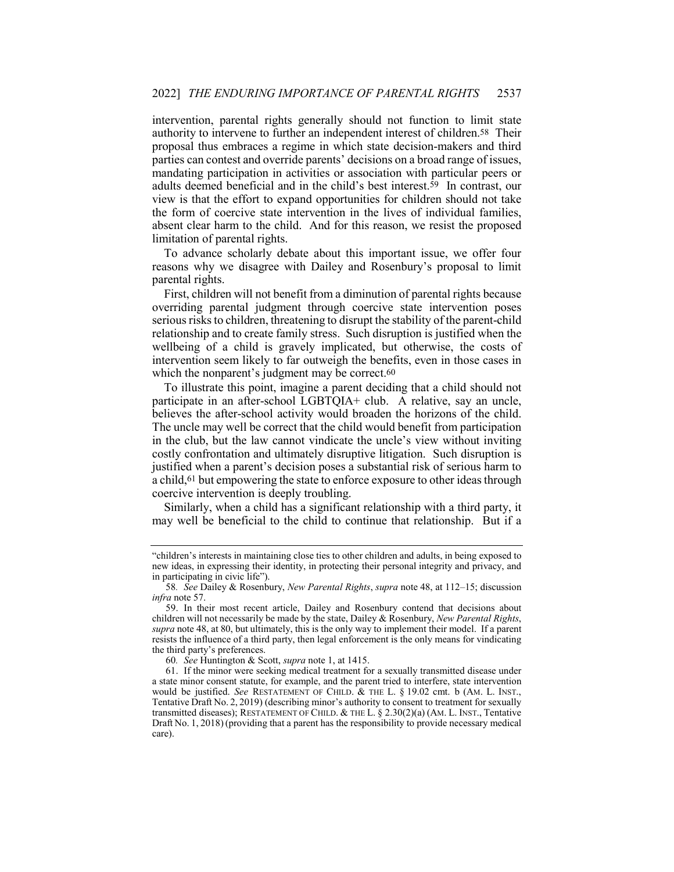intervention, parental rights generally should not function to limit state authority to intervene to further an independent interest of children.58 Their proposal thus embraces a regime in which state decision-makers and third parties can contest and override parents' decisions on a broad range of issues, mandating participation in activities or association with particular peers or adults deemed beneficial and in the child's best interest.59 In contrast, our view is that the effort to expand opportunities for children should not take the form of coercive state intervention in the lives of individual families, absent clear harm to the child. And for this reason, we resist the proposed limitation of parental rights.

To advance scholarly debate about this important issue, we offer four reasons why we disagree with Dailey and Rosenbury's proposal to limit parental rights.

First, children will not benefit from a diminution of parental rights because overriding parental judgment through coercive state intervention poses serious risks to children, threatening to disrupt the stability of the parent-child relationship and to create family stress. Such disruption is justified when the wellbeing of a child is gravely implicated, but otherwise, the costs of intervention seem likely to far outweigh the benefits, even in those cases in which the nonparent's judgment may be correct.<sup>60</sup>

To illustrate this point, imagine a parent deciding that a child should not participate in an after-school LGBTQIA+ club. A relative, say an uncle, believes the after-school activity would broaden the horizons of the child. The uncle may well be correct that the child would benefit from participation in the club, but the law cannot vindicate the uncle's view without inviting costly confrontation and ultimately disruptive litigation. Such disruption is justified when a parent's decision poses a substantial risk of serious harm to a child,61 but empowering the state to enforce exposure to other ideas through coercive intervention is deeply troubling.

Similarly, when a child has a significant relationship with a third party, it may well be beneficial to the child to continue that relationship. But if a

60*. See* Huntington & Scott, *supra* note 1, at 1415.

<sup>&</sup>quot;children's interests in maintaining close ties to other children and adults, in being exposed to new ideas, in expressing their identity, in protecting their personal integrity and privacy, and in participating in civic life").

<sup>58</sup>*. See* Dailey & Rosenbury, *New Parental Rights*, *supra* note 48, at 112–15; discussion *infra* note 57.

<sup>59.</sup> In their most recent article, Dailey and Rosenbury contend that decisions about children will not necessarily be made by the state, Dailey & Rosenbury, *New Parental Rights*, *supra* note 48, at 80, but ultimately, this is the only way to implement their model. If a parent resists the influence of a third party, then legal enforcement is the only means for vindicating the third party's preferences.

<sup>61.</sup> If the minor were seeking medical treatment for a sexually transmitted disease under a state minor consent statute, for example, and the parent tried to interfere, state intervention would be justified. *See* RESTATEMENT OF CHILD. & THE L. § 19.02 cmt. b (AM. L. INST., Tentative Draft No. 2, 2019) (describing minor's authority to consent to treatment for sexually transmitted diseases); RESTATEMENT OF CHILD. & THE L. § 2.30(2)(a) (AM. L. INST., Tentative Draft No. 1, 2018) (providing that a parent has the responsibility to provide necessary medical care).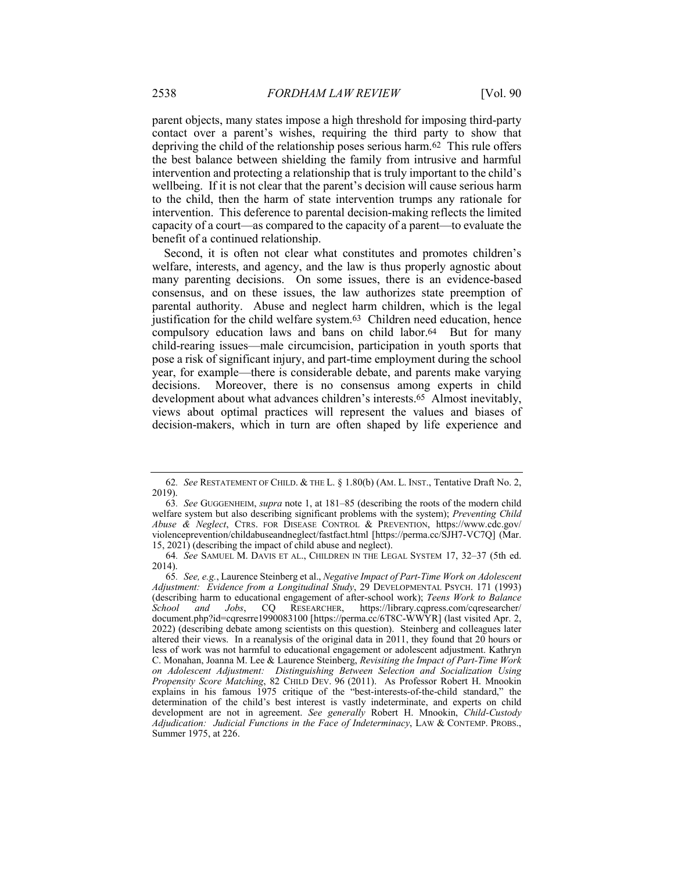parent objects, many states impose a high threshold for imposing third-party contact over a parent's wishes, requiring the third party to show that depriving the child of the relationship poses serious harm.62 This rule offers the best balance between shielding the family from intrusive and harmful intervention and protecting a relationship that is truly important to the child's wellbeing. If it is not clear that the parent's decision will cause serious harm to the child, then the harm of state intervention trumps any rationale for intervention. This deference to parental decision-making reflects the limited capacity of a court—as compared to the capacity of a parent—to evaluate the benefit of a continued relationship.

Second, it is often not clear what constitutes and promotes children's welfare, interests, and agency, and the law is thus properly agnostic about many parenting decisions. On some issues, there is an evidence-based consensus, and on these issues, the law authorizes state preemption of parental authority. Abuse and neglect harm children, which is the legal justification for the child welfare system.<sup>63</sup> Children need education, hence compulsory education laws and bans on child labor.64 But for many child-rearing issues—male circumcision, participation in youth sports that pose a risk of significant injury, and part-time employment during the school year, for example—there is considerable debate, and parents make varying decisions. Moreover, there is no consensus among experts in child development about what advances children's interests.65 Almost inevitably, views about optimal practices will represent the values and biases of decision-makers, which in turn are often shaped by life experience and

<sup>62</sup>*. See* RESTATEMENT OF CHILD. & THE L. § 1.80(b) (AM. L. INST., Tentative Draft No. 2, 2019).

<sup>63</sup>*. See* GUGGENHEIM, *supra* note 1, at 181–85 (describing the roots of the modern child welfare system but also describing significant problems with the system); *Preventing Child Abuse & Neglect*, CTRS. FOR DISEASE CONTROL & PREVENTION, https://www.cdc.gov/ violenceprevention/childabuseandneglect/fastfact.html [https://perma.cc/SJH7-VC7Q] (Mar. 15, 2021) (describing the impact of child abuse and neglect).

<sup>64</sup>*. See* SAMUEL M. DAVIS ET AL., CHILDREN IN THE LEGAL SYSTEM 17, 32–37 (5th ed. 2014).

<sup>65</sup>*. See, e.g.*, Laurence Steinberg et al., *Negative Impact of Part-Time Work on Adolescent Adjustment: Evidence from a Longitudinal Study*, 29 DEVELOPMENTAL PSYCH. 171 (1993) (describing harm to educational engagement of after-school work); *Teens Work to Balance*  https://library.cqpress.com/cqresearcher/ document.php?id=cqresrre1990083100 [https://perma.cc/6T8C-WWYR] (last visited Apr. 2, 2022) (describing debate among scientists on this question). Steinberg and colleagues later altered their views. In a reanalysis of the original data in 2011, they found that 20 hours or less of work was not harmful to educational engagement or adolescent adjustment. Kathryn C. Monahan, Joanna M. Lee & Laurence Steinberg, *Revisiting the Impact of Part-Time Work on Adolescent Adjustment: Distinguishing Between Selection and Socialization Using Propensity Score Matching*, 82 CHILD DEV. 96 (2011). As Professor Robert H. Mnookin explains in his famous 1975 critique of the "best-interests-of-the-child standard," the determination of the child's best interest is vastly indeterminate, and experts on child development are not in agreement. *See generally* Robert H. Mnookin, *Child-Custody Adjudication: Judicial Functions in the Face of Indeterminacy*, LAW & CONTEMP. PROBS., Summer 1975, at 226.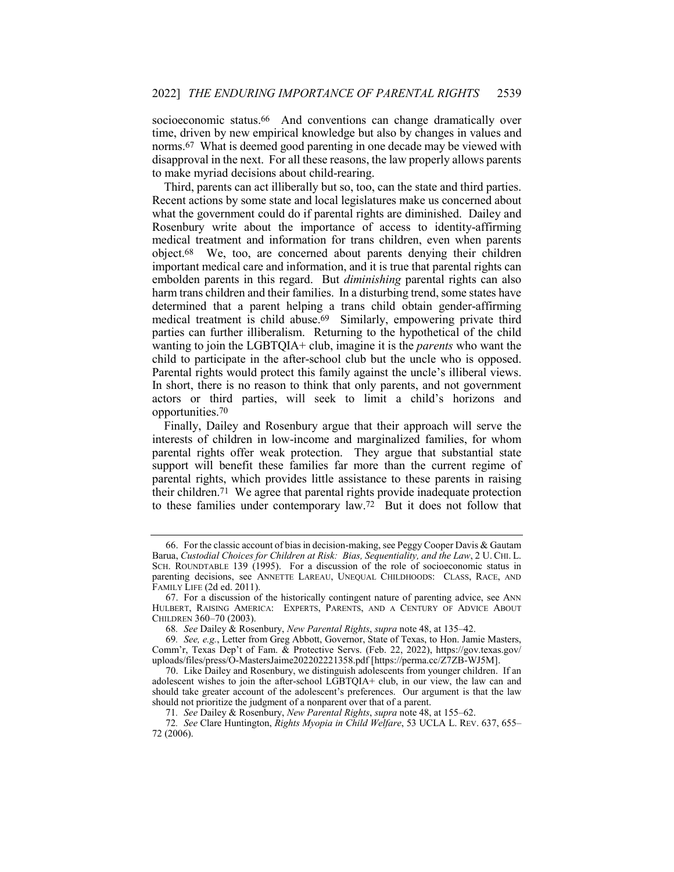socioeconomic status.<sup>66</sup> And conventions can change dramatically over time, driven by new empirical knowledge but also by changes in values and norms.67 What is deemed good parenting in one decade may be viewed with disapproval in the next. For all these reasons, the law properly allows parents to make myriad decisions about child-rearing.

Third, parents can act illiberally but so, too, can the state and third parties. Recent actions by some state and local legislatures make us concerned about what the government could do if parental rights are diminished. Dailey and Rosenbury write about the importance of access to identity-affirming medical treatment and information for trans children, even when parents object.68 We, too, are concerned about parents denying their children important medical care and information, and it is true that parental rights can embolden parents in this regard. But *diminishing* parental rights can also harm trans children and their families. In a disturbing trend, some states have determined that a parent helping a trans child obtain gender-affirming medical treatment is child abuse.69 Similarly, empowering private third parties can further illiberalism. Returning to the hypothetical of the child wanting to join the LGBTQIA+ club, imagine it is the *parents* who want the child to participate in the after-school club but the uncle who is opposed. Parental rights would protect this family against the uncle's illiberal views. In short, there is no reason to think that only parents, and not government actors or third parties, will seek to limit a child's horizons and opportunities.70

Finally, Dailey and Rosenbury argue that their approach will serve the interests of children in low-income and marginalized families, for whom parental rights offer weak protection. They argue that substantial state support will benefit these families far more than the current regime of parental rights, which provides little assistance to these parents in raising their children.71 We agree that parental rights provide inadequate protection to these families under contemporary law.72 But it does not follow that

<sup>66.</sup> For the classic account of bias in decision-making, see Peggy Cooper Davis & Gautam Barua, *Custodial Choices for Children at Risk: Bias, Sequentiality, and the Law*, 2 U. CHI. L. SCH. ROUNDTABLE 139 (1995). For a discussion of the role of socioeconomic status in parenting decisions, see ANNETTE LAREAU, UNEQUAL CHILDHOODS: CLASS, RACE, AND FAMILY LIFE (2d ed. 2011).

<sup>67.</sup> For a discussion of the historically contingent nature of parenting advice, see ANN HULBERT, RAISING AMERICA: EXPERTS, PARENTS, AND A CENTURY OF ADVICE ABOUT CHILDREN 360–70 (2003).

<sup>68</sup>*. See* Dailey & Rosenbury, *New Parental Rights*, *supra* note 48, at 135–42.

<sup>69</sup>*. See, e.g.*, Letter from Greg Abbott, Governor, State of Texas, to Hon. Jamie Masters, Comm'r, Texas Dep't of Fam. & Protective Servs. (Feb. 22, 2022), https://gov.texas.gov/ uploads/files/press/O-MastersJaime202202221358.pdf [https://perma.cc/Z7ZB-WJ5M].

<sup>70.</sup> Like Dailey and Rosenbury, we distinguish adolescents from younger children. If an adolescent wishes to join the after-school LGBTQIA+ club, in our view, the law can and should take greater account of the adolescent's preferences. Our argument is that the law should not prioritize the judgment of a nonparent over that of a parent.

<sup>71</sup>*. See* Dailey & Rosenbury, *New Parental Rights*, *supra* note 48, at 155–62.

<sup>72</sup>*. See* Clare Huntington, *Rights Myopia in Child Welfare*, 53 UCLA L. REV. 637, 655– 72 (2006).